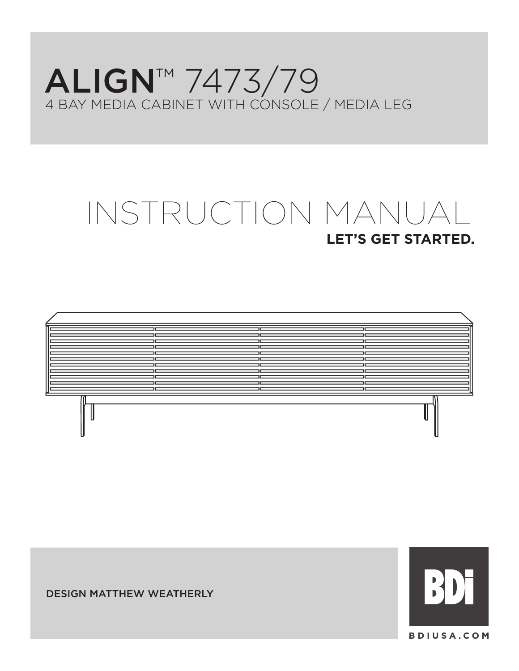## ALIGN™ 7473/79 4 BAY MEDIA CABINET WITH CONSOLE / MEDIA LEG

# **LET'S GET STARTED.** INSTRUCTION MANUAL





DESIGN MATTHEW WEATHERLY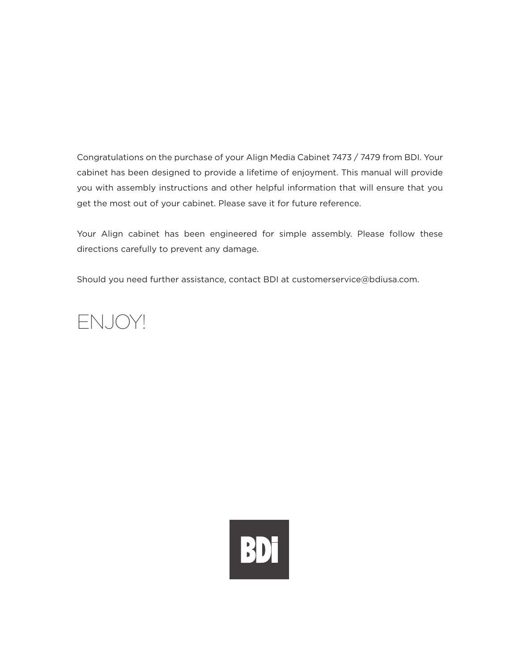Congratulations on the purchase of your Align Media Cabinet 7473 / 7479 from BDI. Your cabinet has been designed to provide a lifetime of enjoyment. This manual will provide you with assembly instructions and other helpful information that will ensure that you get the most out of your cabinet. Please save it for future reference.

Your Align cabinet has been engineered for simple assembly. Please follow these directions carefully to prevent any damage.

Should you need further assistance, contact BDI at customerservice@bdiusa.com.



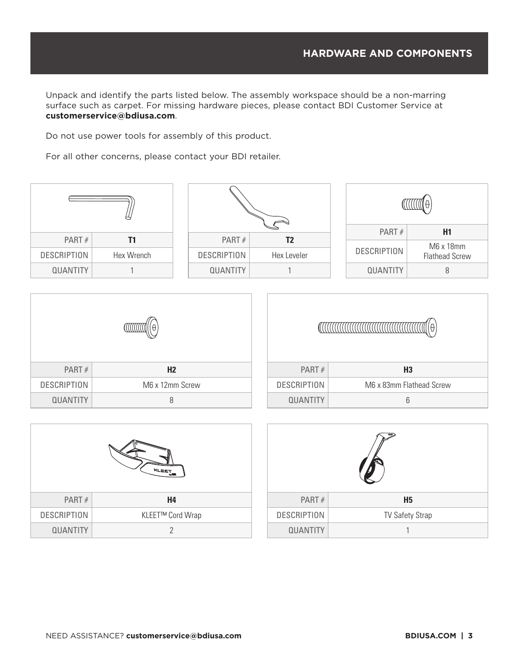Unpack and identify the parts listed below. The assembly workspace should be a non-marring surface such as carpet. For missing hardware pieces, please contact BDI Customer Service at **customerservice@bdiusa.com**.

Do not use power tools for assembly of this product.

For all other concerns, please contact your BDI retailer.

| ╚                  |            |  |                    |             |       |                    |                       |  |
|--------------------|------------|--|--------------------|-------------|-------|--------------------|-----------------------|--|
|                    |            |  |                    |             | PART# | H1                 |                       |  |
| PART#              | Т1         |  | PART#              | T2          |       | M6 x 18mm          |                       |  |
| <b>DESCRIPTION</b> | Hex Wrench |  | <b>DESCRIPTION</b> | Hex Leveler |       | <b>DESCRIPTION</b> | <b>Flathead Screw</b> |  |
| <b>QUANTITY</b>    |            |  | <b>QUANTITY</b>    |             |       | <b>QUANTITY</b>    | 8                     |  |
|                    |            |  |                    |             |       |                    |                       |  |

| PART#              | H <sub>2</sub>  |  |
|--------------------|-----------------|--|
| <b>DESCRIPTION</b> | M6 x 12mm Screw |  |
| <b>QUANTITY</b>    | 8               |  |

| PART $#$           | H <sub>3</sub>           |  |  |  |  |
|--------------------|--------------------------|--|--|--|--|
| <b>DESCRIPTION</b> | M6 x 83mm Flathead Screw |  |  |  |  |
| <b>QUANTITY</b>    | հ                        |  |  |  |  |

| KLEET              |                  |  |
|--------------------|------------------|--|
| PART#              | H4               |  |
| <b>DESCRIPTION</b> | KLEET™ Cord Wrap |  |
| <b>QUANTITY</b>    | 7                |  |

| PART#              | <b>H5</b>              |  |
|--------------------|------------------------|--|
| <b>DESCRIPTION</b> | <b>TV Safety Strap</b> |  |
| <b>QUANTITY</b>    |                        |  |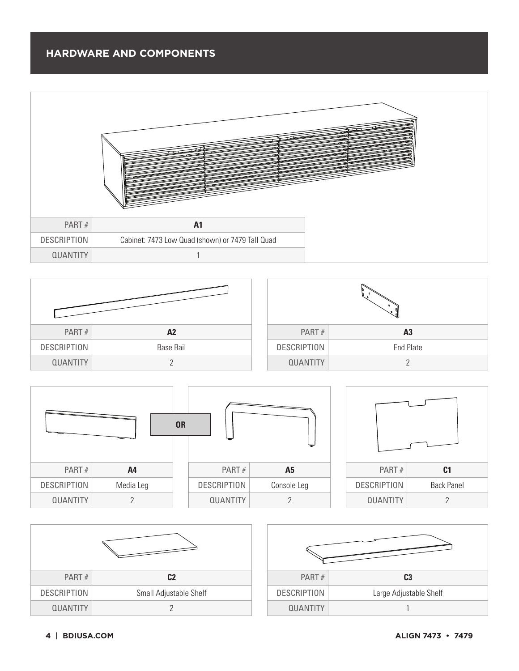







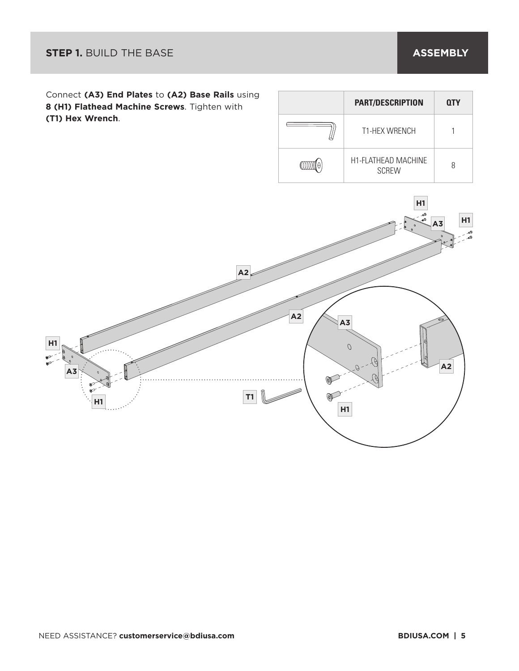

| <b>PART/DESCRIPTION</b>                    | <b>QTY</b> |
|--------------------------------------------|------------|
| <b>T1-HFX WRFNCH</b>                       |            |
| <b>H1-FLATHEAD MACHINE</b><br><b>SCREW</b> |            |

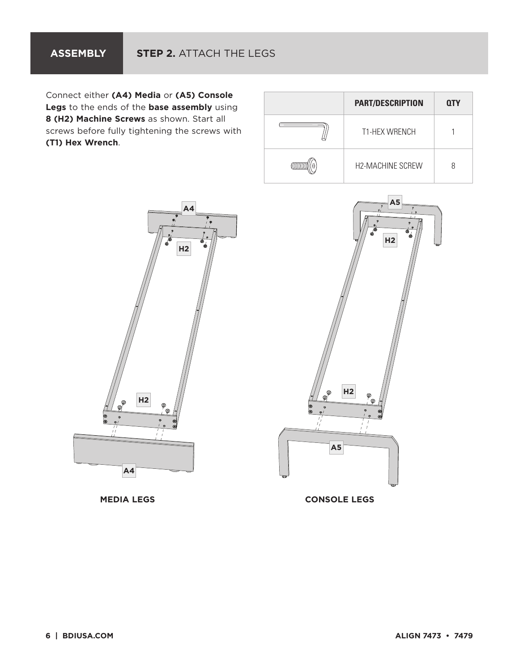Connect either **(A4) Media** or **(A5) Console Legs** to the ends of the **base assembly** using **8 (H2) Machine Screws** as shown. Start all screws before fully tightening the screws with **(T1) Hex Wrench**.

| <b>PART/DESCRIPTION</b> | <b>QTY</b> |
|-------------------------|------------|
| <b>T1-HEX WRENCH</b>    |            |
| H2-MACHINE SCREW        |            |





**MEDIA LEGS CONSOLE LEGS**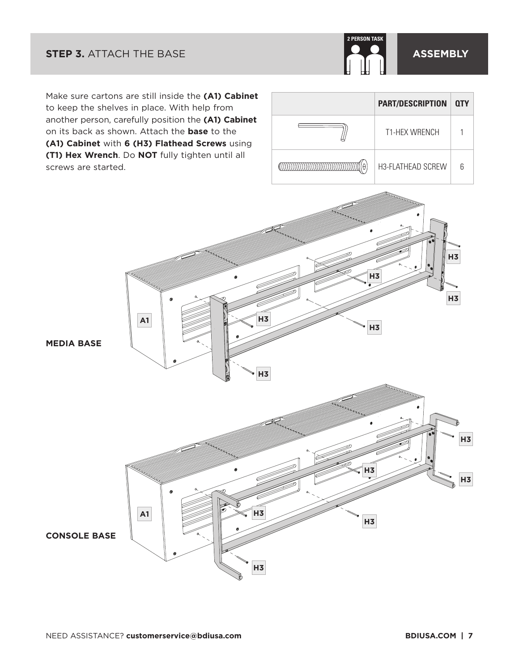### **STEP 3.** ATTACH THE BASE **ASSEMBLY**



**H3**

**H3**

Make sure cartons are still inside the **(A1) Cabinet** to keep the shelves in place. With help from another person, carefully position the **(A1) Cabinet** on its back as shown. Attach the **base** to the **(A1) Cabinet** with **6 (H3) Flathead Screws** using **(T1) Hex Wrench**. Do **NOT** fully tighten until all screws are started.

**A1**

| <b>PART/DESCRIPTION   QTY</b> |  |
|-------------------------------|--|
| <b>T1-HEX WRENCH</b>          |  |
| H3-FLATHEAD SCREW             |  |

**H3**

**H3**

**MEDIA BASE**



**H3**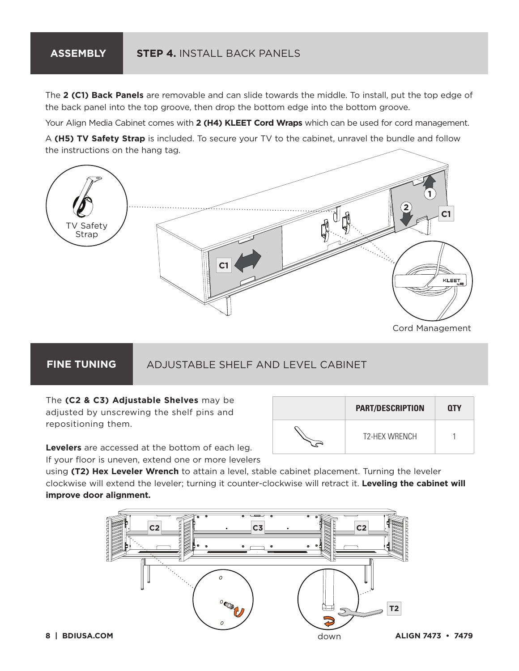## **ASSEMBLY STEP 4.** INSTALL BACK PANELS

The **2 (C1) Back Panels** are removable and can slide towards the middle. To install, put the top edge of the back panel into the top groove, then drop the bottom edge into the bottom groove.

Your Align Media Cabinet comes with **2 (H4) KLEET Cord Wraps** which can be used for cord management.

A **(H5) TV Safety Strap** is included. To secure your TV to the cabinet, unravel the bundle and follow the instructions on the hang tag.



Cord Management

**PART/DESCRIPTION QTY**

T<sub>2</sub>-HEX WRENCH 1

#### **FINE TUNING**

## ADJUSTABLE SHELF AND LEVEL CABINET

The **(C2 & C3) Adjustable Shelves** may be adjusted by unscrewing the shelf pins and repositioning them.

**Levelers** are accessed at the bottom of each leg.

If your floor is uneven, extend one or more levelers

using **(T2) Hex Leveler Wrench** to attain a level, stable cabinet placement. Turning the leveler clockwise will extend the leveler; turning it counter-clockwise will retract it. **Leveling the cabinet will improve door alignment.**

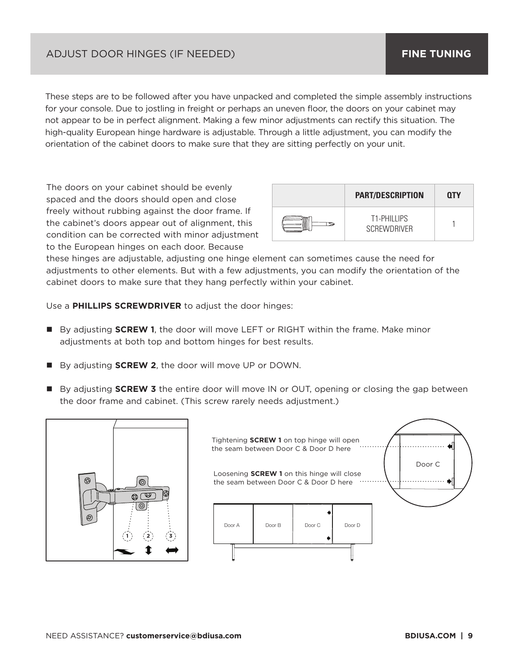#### ADJUST DOOR HINGES (IF NEEDED)

These steps are to be followed after you have unpacked and completed the simple assembly instructions for your console. Due to jostling in freight or perhaps an uneven floor, the doors on your cabinet may not appear to be in perfect alignment. Making a few minor adjustments can rectify this situation. The high-quality European hinge hardware is adjustable. Through a little adjustment, you can modify the orientation of the cabinet doors to make sure that they are sitting perfectly on your unit.

The doors on your cabinet should be evenly spaced and the doors should open and close freely without rubbing against the door frame. If the cabinet's doors appear out of alignment, this condition can be corrected with minor adjustment to the European hinges on each door. Because

| <b>PART/DESCRIPTION</b>                  | 0TY |
|------------------------------------------|-----|
| <b>T1-PHILLIPS</b><br><b>SCREWDRIVER</b> |     |

these hinges are adjustable, adjusting one hinge element can sometimes cause the need for adjustments to other elements. But with a few adjustments, you can modify the orientation of the cabinet doors to make sure that they hang perfectly within your cabinet.

Use a **PHILLIPS SCREWDRIVER** to adjust the door hinges:

- By adjusting **SCREW 1**, the door will move LEFT or RIGHT within the frame. Make minor adjustments at both top and bottom hinges for best results.
- By adjusting **SCREW 2**, the door will move UP or DOWN.
- By adjusting **SCREW 3** the entire door will move IN or OUT, opening or closing the gap between the door frame and cabinet. (This screw rarely needs adjustment.)



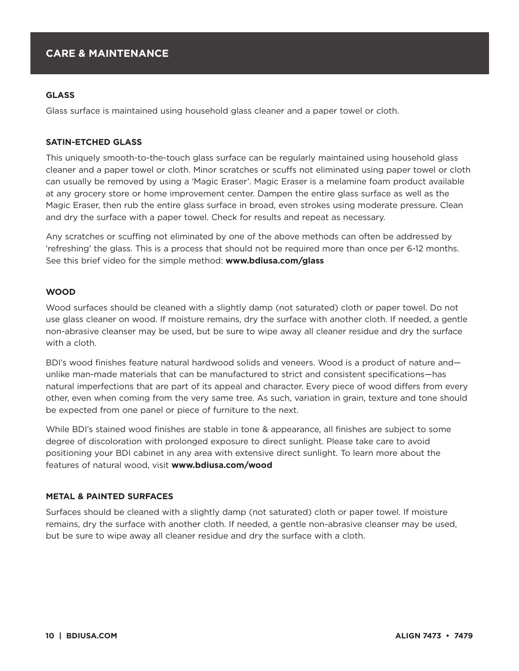#### **GLASS**

Glass surface is maintained using household glass cleaner and a paper towel or cloth.

#### **SATIN-ETCHED GLASS**

This uniquely smooth-to-the-touch glass surface can be regularly maintained using household glass cleaner and a paper towel or cloth. Minor scratches or scuffs not eliminated using paper towel or cloth can usually be removed by using a 'Magic Eraser'. Magic Eraser is a melamine foam product available at any grocery store or home improvement center. Dampen the entire glass surface as well as the Magic Eraser, then rub the entire glass surface in broad, even strokes using moderate pressure. Clean and dry the surface with a paper towel. Check for results and repeat as necessary.

Any scratches or scuffing not eliminated by one of the above methods can often be addressed by 'refreshing' the glass. This is a process that should not be required more than once per 6-12 months. See this brief video for the simple method: **www.bdiusa.com/glass** 

#### **WOOD**

Wood surfaces should be cleaned with a slightly damp (not saturated) cloth or paper towel. Do not use glass cleaner on wood. If moisture remains, dry the surface with another cloth. If needed, a gentle non-abrasive cleanser may be used, but be sure to wipe away all cleaner residue and dry the surface with a cloth.

BDI's wood finishes feature natural hardwood solids and veneers. Wood is a product of nature and unlike man-made materials that can be manufactured to strict and consistent specifications—has natural imperfections that are part of its appeal and character. Every piece of wood differs from every other, even when coming from the very same tree. As such, variation in grain, texture and tone should be expected from one panel or piece of furniture to the next.

While BDI's stained wood finishes are stable in tone & appearance, all finishes are subject to some degree of discoloration with prolonged exposure to direct sunlight. Please take care to avoid positioning your BDI cabinet in any area with extensive direct sunlight. To learn more about the features of natural wood, visit **www.bdiusa.com/wood** 

#### **METAL & PAINTED SURFACES**

Surfaces should be cleaned with a slightly damp (not saturated) cloth or paper towel. If moisture remains, dry the surface with another cloth. If needed, a gentle non-abrasive cleanser may be used, but be sure to wipe away all cleaner residue and dry the surface with a cloth.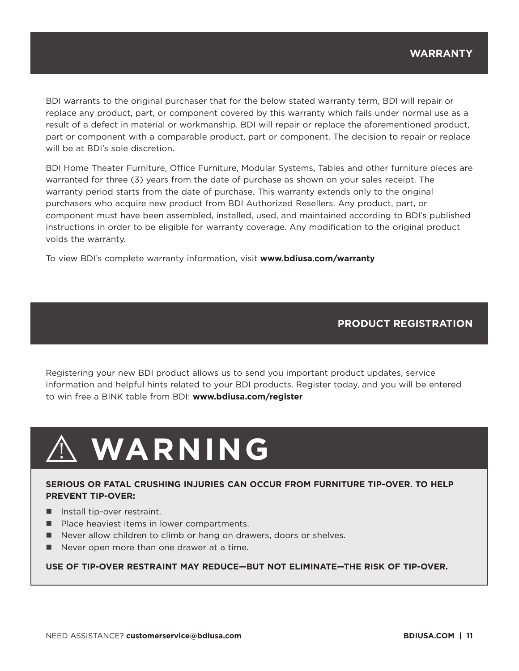BDI warrants to the original purchaser that for the below stated warranty term, BDI will repair or replace any product, part, or component covered by this warranty which fails under normal use as a result of a defect in material or workmanship. BDI will repair or replace the aforementioned product, part or component with a comparable product, part or component. The decision to repair or replace will be at BDI's sole discretion.

BDI Home Theater Furniture, Office Furniture, Modular Systems, Tables and other furniture pieces are warranted for three (3) years from the date of purchase as shown on your sales receipt. The warranty period starts from the date of purchase. This warranty extends only to the original purchasers who acquire new product from BDI Authorized Resellers. Any product, part, or component must have been assembled, installed, used, and maintained according to BDI's published instructions in order to be eligible for warranty coverage. Any modification to the original product voids the warranty.

To view BDI's complete warranty information, visit **www.bdiusa.com/warranty**

#### **PRODUCT REGISTRATION**

Registering your new BDI product allows us to send you important product updates, service information and helpful hints related to your BDI products. Register today, and you will be entered to win free a BINK table from BDI: **www.bdiusa.com/register** 

# **WARNING**

#### **SERIOUS OR FATAL CRUSHING INJURIES CAN OCCUR FROM FURNITURE TIP-OVER. TO HELP PREVENT TIP-OVER:**

- $\blacksquare$  Install tip-over restraint.
- Place heaviest items in lower compartments.
- Never allow children to climb or hang on drawers, doors or shelves.
- $\blacksquare$  Never open more than one drawer at a time.

**USE OF TIP-OVER RESTRAINT MAY REDUCE—BUT NOT ELIMINATE—THE RISK OF TIP-OVER.**